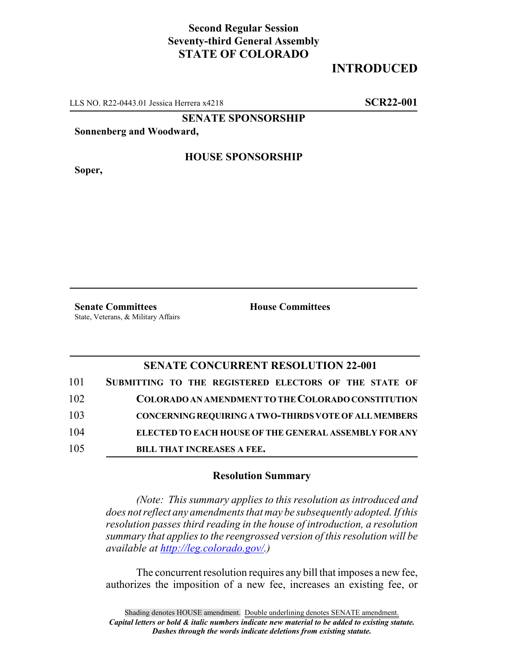## **Second Regular Session Seventy-third General Assembly STATE OF COLORADO**

# **INTRODUCED**

LLS NO. R22-0443.01 Jessica Herrera x4218 **SCR22-001**

**SENATE SPONSORSHIP**

**Sonnenberg and Woodward,**

**Soper,**

#### **HOUSE SPONSORSHIP**

**Senate Committees House Committees** State, Veterans, & Military Affairs

### **SENATE CONCURRENT RESOLUTION 22-001**

| 101 | SUBMITTING TO THE REGISTERED ELECTORS OF THE STATE OF        |
|-----|--------------------------------------------------------------|
| 102 | COLORADO AN AMENDMENT TO THE COLORADO CONSTITUTION           |
| 103 | <b>CONCERNING REQUIRING A TWO-THIRDS VOTE OF ALL MEMBERS</b> |
| 104 | <b>ELECTED TO EACH HOUSE OF THE GENERAL ASSEMBLY FOR ANY</b> |
| 105 | <b>BILL THAT INCREASES A FEE.</b>                            |

#### **Resolution Summary**

*(Note: This summary applies to this resolution as introduced and does not reflect any amendments that may be subsequently adopted. If this resolution passes third reading in the house of introduction, a resolution summary that applies to the reengrossed version of this resolution will be available at http://leg.colorado.gov/.)*

The concurrent resolution requires any bill that imposes a new fee, authorizes the imposition of a new fee, increases an existing fee, or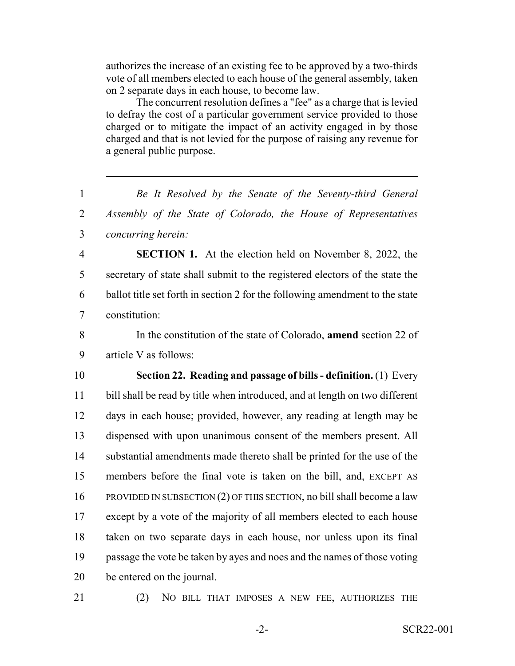authorizes the increase of an existing fee to be approved by a two-thirds vote of all members elected to each house of the general assembly, taken on 2 separate days in each house, to become law.

The concurrent resolution defines a "fee" as a charge that is levied to defray the cost of a particular government service provided to those charged or to mitigate the impact of an activity engaged in by those charged and that is not levied for the purpose of raising any revenue for a general public purpose.

 *Be It Resolved by the Senate of the Seventy-third General Assembly of the State of Colorado, the House of Representatives concurring herein:* **SECTION 1.** At the election held on November 8, 2022, the secretary of state shall submit to the registered electors of the state the ballot title set forth in section 2 for the following amendment to the state constitution: In the constitution of the state of Colorado, **amend** section 22 of article V as follows: **Section 22. Reading and passage of bills - definition.** (1) Every bill shall be read by title when introduced, and at length on two different days in each house; provided, however, any reading at length may be dispensed with upon unanimous consent of the members present. All substantial amendments made thereto shall be printed for the use of the members before the final vote is taken on the bill, and, EXCEPT AS PROVIDED IN SUBSECTION (2) OF THIS SECTION, no bill shall become a law except by a vote of the majority of all members elected to each house taken on two separate days in each house, nor unless upon its final passage the vote be taken by ayes and noes and the names of those voting be entered on the journal.

(2) NO BILL THAT IMPOSES A NEW FEE, AUTHORIZES THE